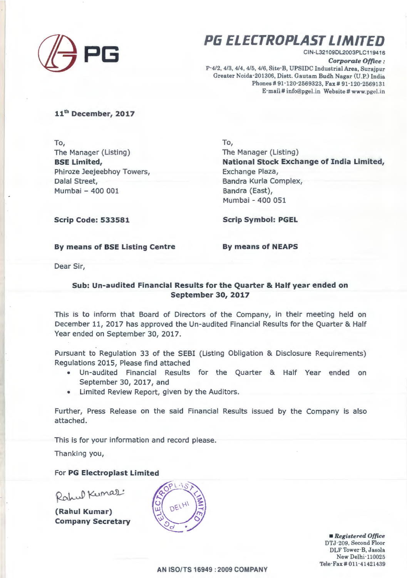

## **P6 ELECTROPLAST LIMITED**

CIN-L32109DL2003PLC119416

*Corporate Office :*  P-4/2, 4/3, 4/4, 4/5, 4/6, Site· B, UPSIDC Industrial Area, Surajpur Greater Noida-201306, Distt. Gautam Budh Nagar (U.P.) India Phones# 91·120·2569323, Fax# 91·120·2569131 E-mail# info@pgel.in Website# www.pgel.in

#### 11<sup>th</sup> December, 2017

To, The Manager (Listing) BSE Limited, Phiroze Jeejeebhoy Towers, Dalal Street, Mumbai - 400 001

To, The Manager (Listing) National Stock Exchange of India Limited, Exchange Plaza, Sandra Kurla Complex, Bandra (East), Mumbai - 400 051

Scrip Code: 533581

Scrip Symbol: PGEL

#### By means of BSE Listing Centre

By means of NEAPS

Dear Sir,

#### Sub: Un-audited Financial Results for the Quarter & Half year ended on September 30, 2017

This is to inform that Board of Directors of the Company, in their meeting held on December 11, 2017 has approved the Un-audited Financial Results for the Quarter & Half Year ended on September 30, 2017.

Pursuant to Regulation 33 of the SEBI (Listing Obligation & Disclosure Requirements) Regulations 2015, Please find attached

- Un-audited Financial Results for the Quarter & Half Year ended on September 30, 2017, and
- Limited Review Report, given by the Auditors.

Further, Press Release on the said Financial Results issued by the Company is also attached.

This is for your information and record please.

Thanking you,

#### For PG Electroplast Limited

Rahul Kumar:

(Rahul Kumar) Company Secretary



• *Registered Office*  DTJ-209, Second Floor DLF Tower·B, Jasola New Delhi-110025 Tele-Fax # 011-41421439

AN ISO/TS 16949 : 2009 COMPANY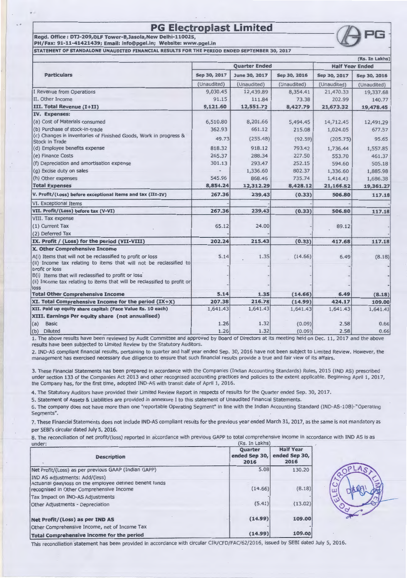# **PG Electroplast Limited**<br>Regd. Office : DTJ-209, DLF Tower-B, Jasola, New Delhi-110025,

PH/Fax: 91-11-41421439; Email: info@pgel.in; Website: www.pgel.in

STATEMENT OF STANDALONE UNAUDITED FINANCIAL RESULTS FOR THE PERIOD ENDED SEPTEMBER 30, 2017

|                                                                                                                                                           | <b>Quarter Ended</b> |               |              | (Rs. In Lakhs)<br><b>Half Year Ended</b> |              |
|-----------------------------------------------------------------------------------------------------------------------------------------------------------|----------------------|---------------|--------------|------------------------------------------|--------------|
| <b>Particulars</b>                                                                                                                                        | Sep 30, 2017         | June 30, 2017 | Sep 30, 2016 | Sep 30, 2017                             | Sep 30, 2016 |
|                                                                                                                                                           | (Unaudited)          | (Unaudited)   | (Unaudited)  | (Unaudited)                              | (Unaudited)  |
| I Revenue from Operations                                                                                                                                 | 9,030.45             | 12,439.89     | 8,354.41     | 21,470.33                                | 19,337.68    |
| II. Other Income                                                                                                                                          | 91.15                | 111.84        | 73.38        | 202.99                                   | 140.77       |
| III. Total Revenue (I+II)                                                                                                                                 | 9,121.60             | 12,551.72     | 8,427.79     | 21,673.32                                | 19,478.45    |
| IV. Expenses:                                                                                                                                             |                      |               |              |                                          |              |
| (a) Cost of Materials consumed                                                                                                                            | 6,510.80             | 8,201.66      | 5,494.45     | 14,712.45                                | 12,491.29    |
| (b) Purchase of stock-in-trade                                                                                                                            | 362.93               | 661.12        | 215.08       | 1,024.05                                 | 677.57       |
| (c) Changes in inventories of Finished Goods, Work in progress &<br><b>Stock in Trade</b>                                                                 | 49.73                | (255.48)      | (92.59)      | (205.75)                                 | 95.65        |
| (d) Employee benefits expense                                                                                                                             | 818.32               | 918.12        | 793.42       | 1,736.44                                 | 1,557.85     |
| (e) Finance Costs                                                                                                                                         | 265.37               | 288.34        | 227.50       | 553.70                                   | 461.37       |
| (f) Depreciation and amortisation expense                                                                                                                 | 301.13               | 293.47        | 252.15       | 594.60                                   | 505.18       |
| (g) Excise duty on sales                                                                                                                                  |                      | 1,336.60      | 802.37       | 1,336.60                                 | 1,885.98     |
| (h) Other expenses                                                                                                                                        | 545.96               | 868.46        | 735.74       | 1,414.43                                 | 1,686.38     |
| <b>Total Expenses</b>                                                                                                                                     | 8,854.24             | 12,312.29     | 8,428.12     | 21,166.52                                | 19,361.27    |
| V. Profit/(Loss) before exceptional items and tax (III-IV)                                                                                                | 267.36               | 239.43        | (0.33)       | 506.80                                   | 117.18       |
| VI. Exceptional Items                                                                                                                                     |                      |               |              |                                          |              |
| VII. Profit/(Loss) before tax (V-VI)                                                                                                                      | 267.36               | 239.43        | (0.33)       | 506.80                                   | 117.18       |
| VIII. Tax expense                                                                                                                                         |                      |               |              |                                          |              |
| (1) Current Tax                                                                                                                                           | 65.12                | 24.00         |              | 89.12                                    |              |
| (2) Deferred Tax                                                                                                                                          |                      |               |              |                                          |              |
| IX. Profit / (Loss) for the period (VII-VIII)                                                                                                             | 202.24               | 215.43        | (0.33)       | 417.68                                   | 117.18       |
| X. Other Comprehensive Income                                                                                                                             |                      |               |              |                                          |              |
| A(i) Items that will not be reclassified to profit or loss<br>(ii) Income tax relating to items that will not be reclassified to                          | 5.14                 | 1.35          | (14.66)      | 6.49                                     | (8.18)       |
| profit or loss<br>B(i) Items that will reclassified to profit or loss<br>(ii) Income tax relating to items that will be reclassified to profit or<br>loss |                      |               |              |                                          |              |
| <b>Total Other Comprehensive Income</b>                                                                                                                   | 5.14                 | 1.35          | (14.66)      | 6.49                                     | (8.18)       |
| XI. Total Comprehensive Income for the period $(IX+X)$                                                                                                    | 207.38               | 216.78        | (14.99)      | 424.17                                   | 109.00       |
| XII. Paid up equity share capital: (Face Value Rs. 10 each)                                                                                               | 1,641.43             | 1,641.43      | 1,641.43     | 1,641.43                                 | 1,641.43     |
| XIII. Earnings Per equity share (not annualised)                                                                                                          |                      |               |              |                                          |              |
| (a)<br><b>Basic</b>                                                                                                                                       | 1.26                 | 1.32          | (0.09)       | 2.58                                     | 0.66         |
| (b) Diluted                                                                                                                                               | 1.26                 | 1.32          | (0.09)       | 2.58                                     | 0.66         |

1. The above results have been reviewed by Audit Committee and approved by Board of Directors at its meeting held on Dec. 11, 2017 and the above results have been subjected to Limited Review by the Statutory Auditors.

2. IND-AS compliant financial results, pertaining to quarter and half year ended Sep. 30, 2016 have not been subject to Limited Review. However, the management has exercised necessary due diligence to ensure that such financial results provide a true and fair view of its affairs.

3. These Financial Statements has been prepared in accordance with the Companies (Indian Accounting Standards) Rules, 2015 (IND AS) prescribed under section 133 of the Companies Act 2013 and other recognised accounting practices and policies to the extent applicable. Beginning April 1, 2017, the Company has, for the first time, adopted IND-AS with transit date of April 1, 2016.

4. The Statutory Auditors have provided their Limited Review Report in respects of results for the Quarter ended Sep. 30, 2017.

5. Statement of Assets & Liabilities are provided in annexure I to this statement of Unaudited Financial Statements.

6. The company does not have more than one "reportable Operating Segment" in line with the Indian Accounting Standard (IND-AS-108 )-"0perating Segments".

7. These Financial Statements does not include IND-AS compliant results for the previous year ended March 31, 2017, as the same is not mandatory as per SEBI's circular dated July 5, 2016.

8. The reconciliation of net profit/(loss) reported in accordance with previous GAPP to total comprehensive income in accordance with IND AS is as under: under: (Rs. In Lakhs)

| unuer.                                                                                                |                                         |                                           |  |  |
|-------------------------------------------------------------------------------------------------------|-----------------------------------------|-------------------------------------------|--|--|
| <b>Description</b>                                                                                    | <b>Ouarter</b><br>ended Sep 30,<br>2016 | <b>Half Year</b><br>ended Sep 30,<br>2016 |  |  |
| Net Profit/(Loss) as per previous GAAP (Indian GAPP)                                                  | 5.08                                    | 130.20                                    |  |  |
| IND AS adjustments: Add/(less)                                                                        |                                         |                                           |  |  |
| Actuarial gain/loss on the employee defined benefit funds<br>recognised in Other Comprehensive Income | (14.66)                                 | (8.18)                                    |  |  |
| Tax Impact on IND-AS Adjustments                                                                      |                                         |                                           |  |  |
| <b>Other Adjustments - Depreciation</b>                                                               | (5.41)                                  | (13.02)                                   |  |  |
| Net Profit/(Loss) as per IND AS                                                                       | (14.99)                                 | 109.00                                    |  |  |
| Other Comprehensive Income, net of Income Tax                                                         |                                         |                                           |  |  |
| <b>Total Comprehensive income for the period</b>                                                      | (14.99)                                 | 109.00                                    |  |  |



This reconciliation statement has been provided in accordance with circular CIR/CFD/FAC/62/2016, issued by SEBI dated July 5, 2016.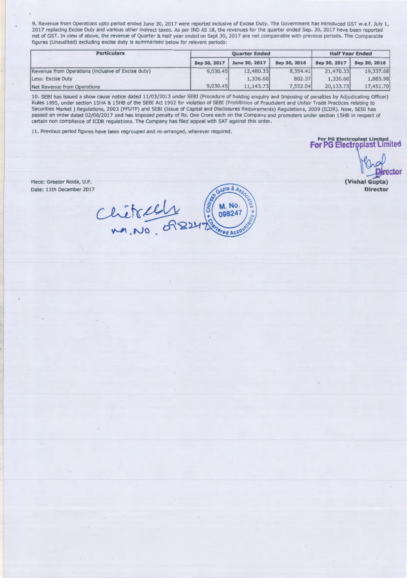9. Revenue from Operations upto period ended June 30, 2017 were reported inclusive of Excise Duty. The Government has introduced GST w.e.f. July 1, 2017 replacing Excise Duty and various other indirect taxes. As per JND AS 18, the revenues for the quarter ended Sep. 30, 2017 heve been reported net of GST. In view of above, the revenue of Quarter & Half year ended on Sept 30, 2017 are not compairable with previous periods. The Comparable figures (Unaudited) excluding excise duty is summarised below for relevent periods:

| <b>Particulars</b>                                 |              | <b>Ouarter Ended</b> |              |              | <b>Half Year Ended</b> |  |
|----------------------------------------------------|--------------|----------------------|--------------|--------------|------------------------|--|
|                                                    | Sep 30, 2017 | June 30, 2017        | Sep 30, 2016 | Sep 30, 2017 | Sep 30, 2016           |  |
| Revenue from Operations (inclusive of Excise duty) | 9.030.45     | 12,480.33            | 8,354,41     | 21,470,33    | 19,337.68              |  |
| Less: Excise Duty                                  |              | 1,336.60             | 802.37       | 1.336.60     | 1,885.98               |  |
| Net Revenue from Operations                        | 9.030.45     | 11,143.73            | 7,552.04     | 20,133,73    | 17,451.70              |  |

10. SEBI has issued a show cause notice dated 11/03/2013 under SEBI (Procedure of holding enquiry and Imposing of penalties by Adjudicating Officer) Rules 1995, under section 15HA & 15HB of the SEBI Act 1992 for violation of SEBI (Prohibition of Fraudulent and Unfair Trade Practices relating to Securities Market) Regulations, 2003 (PFUTP) and SEBI (Issue of Capital and Disclosures Requirements) Regulations, 2009 (!CDR). Now, SEBI has passed an order dated 02/08/2017 and has imposed penalty of Rs. One Crore each on the Company and promoters under section 15HB in respect of certain non compliance of ICDR regulations. The Company has filed appeal with SAT against this order.

11. Previous period figures have been regrouped and re-arranged, wherever required.

**For PG Electroplast Limited**  For PG Fight Apress Function

~ctor **(Vishal Gupta)** 

**Director** 

Piece: Greater Noida, U.P. Date: 11th December 2017

Gupla & Ass Chitreels **M. No. And \* Chip** 098247 Partered Acco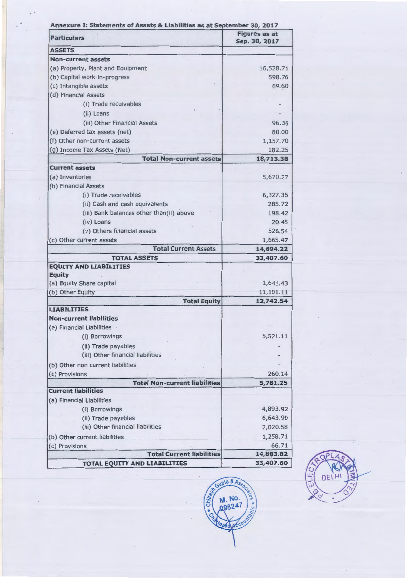| Annexure I: Statements of Assets & Liabilities as at September 30, 2017<br><b>Particulars</b> | <b>Figures as at</b><br>Sep. 30, 2017 |
|-----------------------------------------------------------------------------------------------|---------------------------------------|
| <b>ASSETS</b>                                                                                 |                                       |
| <b>Non-current assets</b>                                                                     |                                       |
| (a) Property, Plant and Equipment                                                             | 16,528.71                             |
| (b) Capital work-in-progress                                                                  | 598.76                                |
| (c) Intangible assets                                                                         | 69.60                                 |
| (d) Financial Assets                                                                          |                                       |
| (i) Trade receivables                                                                         |                                       |
| (ii) Loans                                                                                    |                                       |
| (iii) Other Financial Assets                                                                  | 96.36                                 |
| (e) Deferred tax assets (net)                                                                 | 80.00                                 |
| (f) Other non-current assets                                                                  | 1,157.70                              |
| (g) Income Tax Assets (Net)                                                                   | 182.25                                |
| <b>Total Non-current assets</b>                                                               | 18,713.38                             |
| <b>Current assets</b>                                                                         |                                       |
| (a) Inventories                                                                               | 5,670.27                              |
| (b) Financial Assets                                                                          |                                       |
|                                                                                               |                                       |
| (i) Trade receivables                                                                         | 6,327.35                              |
| (ii) Cash and cash equivalents                                                                | 285.72<br>198.42                      |
| (iii) Bank balances other than(ii) above                                                      |                                       |
| (iv) Loans                                                                                    | 20.45                                 |
| (v) Others financial assets                                                                   | 526.54                                |
| (c) Other current assets                                                                      | 1,665.47                              |
| <b>Total Current Assets</b>                                                                   | 14,694.22                             |
| <b>TOTAL ASSETS</b>                                                                           | 33,407.60                             |
| <b>EQUITY AND LIABILITIES</b>                                                                 |                                       |
| <b>Equity</b>                                                                                 |                                       |
| (a) Equity Share capital                                                                      | 1,641.43                              |
| (b) Other Equity                                                                              | 11,101.11                             |
| <b>Total Equity</b><br><b>LIABILITIES</b>                                                     | 12,742.54                             |
| <b>Non-current liabilities</b>                                                                |                                       |
|                                                                                               |                                       |
| (a) Financial Liabilities                                                                     | 5,521.11                              |
| (i) Borrowings                                                                                |                                       |
| (ii) Trade payables                                                                           |                                       |
| (iii) Other financial liabilities                                                             |                                       |
| (b) Other non current liabilities                                                             |                                       |
| (c) Provisions                                                                                | 260.14                                |
| <b>Total Non-current liabilities</b>                                                          | 5,781.25                              |
| <b>Current liabilities</b>                                                                    |                                       |
| (a) Financial Liabilities                                                                     |                                       |
| (i) Borrowings                                                                                | 4,893.92                              |
| (ii) Trade payables                                                                           | 6,643.90                              |
| (iii) Other financial liabilities                                                             | 2,020.58                              |
| (b) Other current liabilities                                                                 | 1,258.71                              |
| (c) Provisions                                                                                | 66.71                                 |
| <b>Total Current liabilities</b>                                                              | 14,883.82                             |
| TOTAL EQUITY AND LIABILITIES                                                                  | 33,407.60                             |

..



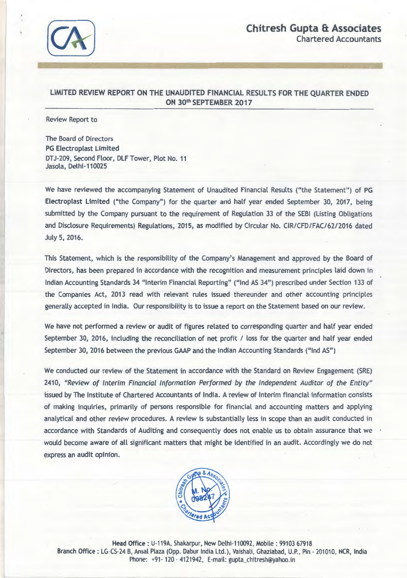

### LIMITED REVIEW REPORT ON THE UNAUDITED FINANCIAL RESULTS FOR THE QUARTER ENDED ON 30th SEPTEMBER 2017

Review Report to

The Board of Directors PG Electroplast Limited DTJ-209, Second Floor, DLFTower, Plot No. 11 Jasola, Delhi-110025

We have reviewed the accompanying Statement of Unaudited Financial Results ("the Statement") of PG Electroplast Limited ("the Company") for the quarter and half year ended September 30, 2017, being submitted by the Company pursuant to the requirement of Regulation 33 of the SEBI (Listing Obligations and Disclosure Requirements) Regulations, 2015, as modified by Circular No. CIR/CFD/FAC/6212016 dated July 5, 2016.

This Statement, which is the responsibility of the Company's Management and approved by the Board of Directors, has been prepared in accordance with the recognition and measurement principles laid down in Indian Accounting Standards 34 "Interim Financial Reporting" ("lnd AS 34") prescribed under Section 133 of the Companies Act, 2013 read with relevant rules issued thereunder and other accounting principles generally accepted in India. Our responsibility is to issue a report on the Statement based on our review.

We have not performed a review or audit of figures related to corresponding quarter and half year ended September 30, 2016, including the reconciliation of net profit / loss for the quarter and half year ended September 30, 2016 between the previous GAAP and the Indian Accounting Standards ("lnd AS")

We conducted our review of the Statement in accordance with the Standard on Review Engagement (SRE) 2410, "Review of Interim Financial Information Performed by the Independent Auditor of the Entity" issued by The Institute of Chartered Accountants of India. A review of Interim financial information consists of making inquiries, primarily of persons responsible for financial and accounting matters and applying analytical and other review procedures. A review is substantially less in scope than an audit conducted in accordance with Standards of Auditing and consequently does not enable us to obtain assurance that we would become aware of all significant matters that might be identified in an audit. Accordingly we do not express an audit opinion.



Head Office: U-119A, Shakarpur, New Delhi-110092, Mobile: 99103 67918 Branch Office: LG-CS-24 B, Ansal Plaza (Opp. Dabur India Ltd.), Vaishali, Ghaziabad, U.P., Pin- 201010, NCR, India Phone: +91- 120 · 4121942, E-mail: gupta\_chitresh@yahoo.in